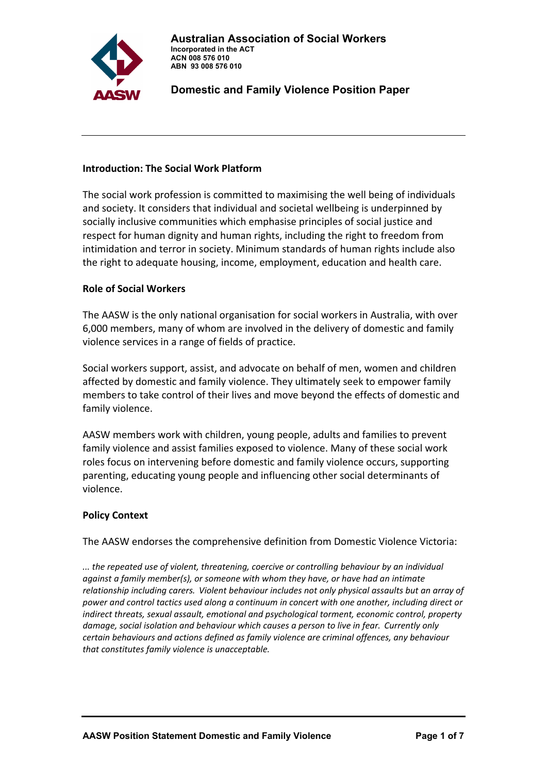

### **Introduction: The Social Work Platform**

The social work profession is committed to maximising the well being of individuals and society. It considers that individual and societal wellbeing is underpinned by socially inclusive communities which emphasise principles of social justice and respect for human dignity and human rights, including the right to freedom from intimidation and terror in society. Minimum standards of human rights include also the right to adequate housing, income, employment, education and health care.

### **Role of Social Workers**

The AASW is the only national organisation for social workers in Australia, with over 6,000 members, many of whom are involved in the delivery of domestic and family violence services in a range of fields of practice.

Social workers support, assist, and advocate on behalf of men, women and children affected by domestic and family violence. They ultimately seek to empower family members to take control of their lives and move beyond the effects of domestic and family violence.

AASW members work with children, young people, adults and families to prevent family violence and assist families exposed to violence. Many of these social work roles focus on intervening before domestic and family violence occurs, supporting parenting, educating young people and influencing other social determinants of violence.

### **Policy Context**

The AASW endorses the comprehensive definition from Domestic Violence Victoria:

*... the repeated use of violent, threatening, coercive or controlling behaviour by an individual against a family member(s), or someone with whom they have, or have had an intimate relationship including carers. Violent behaviour includes not only physical assaults but an array of power and control tactics used along a continuum in concert with one another, including direct or indirect threats, sexual assault, emotional and psychological torment, economic control, property damage, social isolation and behaviour which causes a person to live in fear. Currently only certain behaviours and actions defined as family violence are criminal offences, any behaviour that constitutes family violence is unacceptable.*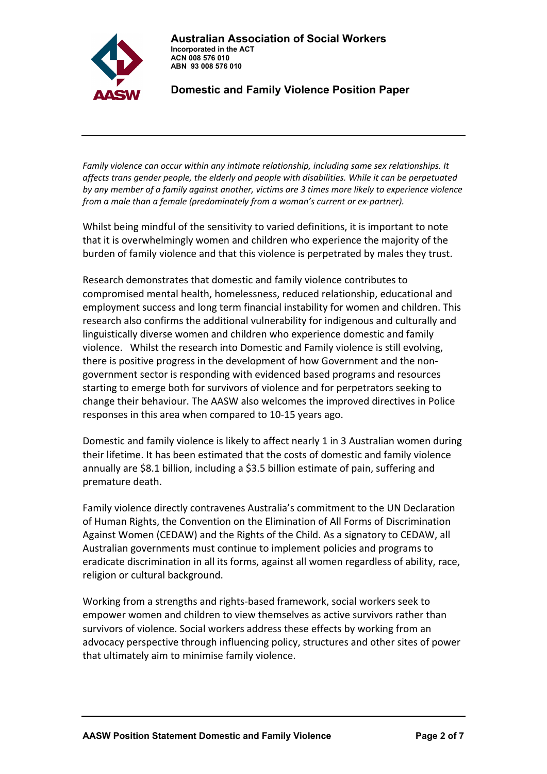

*Family violence can occur within any intimate relationship, including same sex relationships. It affects trans gender people, the elderly and people with disabilities. While it can be perpetuated by any member of a family against another, victims are 3 times more likely to experience violence from a male than a female (predominately from a woman's current or ex‐partner).*

Whilst being mindful of the sensitivity to varied definitions, it is important to note that it is overwhelmingly women and children who experience the majority of the burden of family violence and that this violence is perpetrated by males they trust.

Research demonstrates that domestic and family violence contributes to compromised mental health, homelessness, reduced relationship, educational and employment success and long term financial instability for women and children. This research also confirms the additional vulnerability for indigenous and culturally and linguistically diverse women and children who experience domestic and family violence. Whilst the research into Domestic and Family violence is still evolving, there is positive progress in the development of how Government and the non‐ government sector is responding with evidenced based programs and resources starting to emerge both for survivors of violence and for perpetrators seeking to change their behaviour. The AASW also welcomes the improved directives in Police responses in this area when compared to 10‐15 years ago.

Domestic and family violence is likely to affect nearly 1 in 3 Australian women during their lifetime. It has been estimated that the costs of domestic and family violence annually are \$8.1 billion, including a \$3.5 billion estimate of pain, suffering and premature death.

Family violence directly contravenes Australia's commitment to the UN Declaration of Human Rights, the Convention on the Elimination of All Forms of Discrimination Against Women (CEDAW) and the Rights of the Child. As a signatory to CEDAW, all Australian governments must continue to implement policies and programs to eradicate discrimination in all its forms, against all women regardless of ability, race, religion or cultural background.

Working from a strengths and rights‐based framework, social workers seek to empower women and children to view themselves as active survivors rather than survivors of violence. Social workers address these effects by working from an advocacy perspective through influencing policy, structures and other sites of power that ultimately aim to minimise family violence.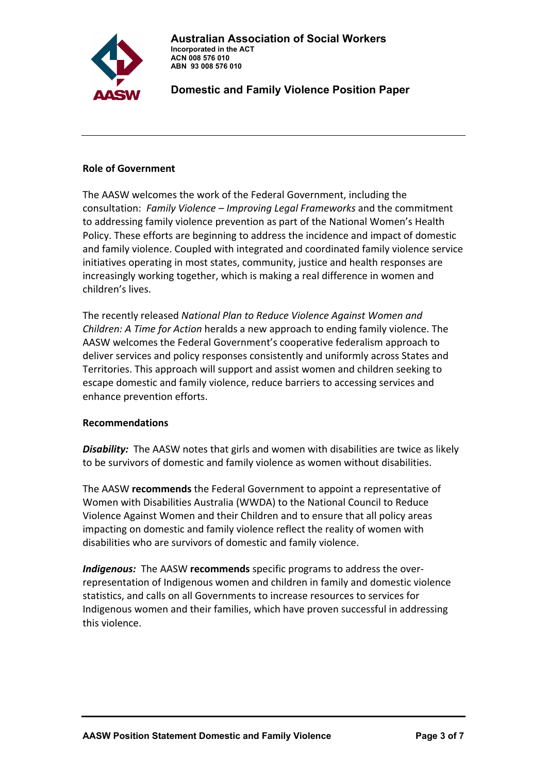

### **Role of Government**

The AASW welcomes the work of the Federal Government, including the consultation: *Family Violence – Improving Legal Frameworks* and the commitment to addressing family violence prevention as part of the National Women's Health Policy. These efforts are beginning to address the incidence and impact of domestic and family violence. Coupled with integrated and coordinated family violence service initiatives operating in most states, community, justice and health responses are increasingly working together, which is making a real difference in women and children's lives.

The recently released *National Plan to Reduce Violence Against Women and Children: A Time for Action* heralds a new approach to ending family violence. The AASW welcomes the Federal Government's cooperative federalism approach to deliver services and policy responses consistently and uniformly across States and Territories. This approach will support and assist women and children seeking to escape domestic and family violence, reduce barriers to accessing services and enhance prevention efforts.

## **Recommendations**

**Disability:** The AASW notes that girls and women with disabilities are twice as likely to be survivors of domestic and family violence as women without disabilities.

The AASW **recommends** the Federal Government to appoint a representative of Women with Disabilities Australia (WWDA) to the National Council to Reduce Violence Against Women and their Children and to ensure that all policy areas impacting on domestic and family violence reflect the reality of women with disabilities who are survivors of domestic and family violence.

**Indigenous:** The AASW **recommends** specific programs to address the overrepresentation of Indigenous women and children in family and domestic violence statistics, and calls on all Governments to increase resources to services for Indigenous women and their families, which have proven successful in addressing this violence.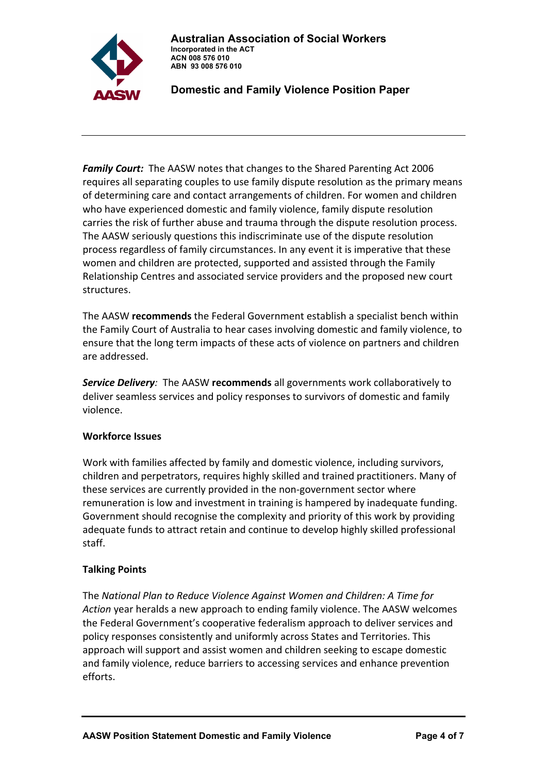

**Family Court:** The AASW notes that changes to the Shared Parenting Act 2006 requires all separating couples to use family dispute resolution as the primary means of determining care and contact arrangements of children. For women and children who have experienced domestic and family violence, family dispute resolution carries the risk of further abuse and trauma through the dispute resolution process. The AASW seriously questions this indiscriminate use of the dispute resolution process regardless of family circumstances. In any event it is imperative that these women and children are protected, supported and assisted through the Family Relationship Centres and associated service providers and the proposed new court structures.

The AASW **recommends** the Federal Government establish a specialist bench within the Family Court of Australia to hear cases involving domestic and family violence, to ensure that the long term impacts of these acts of violence on partners and children are addressed.

*Service Delivery:* The AASW **recommends** all governments work collaboratively to deliver seamless services and policy responses to survivors of domestic and family violence.

## **Workforce Issues**

Work with families affected by family and domestic violence, including survivors, children and perpetrators, requires highly skilled and trained practitioners. Many of these services are currently provided in the non‐government sector where remuneration is low and investment in training is hampered by inadequate funding. Government should recognise the complexity and priority of this work by providing adequate funds to attract retain and continue to develop highly skilled professional staff.

## **Talking Points**

The *National Plan to Reduce Violence Against Women and Children: A Time for Action* year heralds a new approach to ending family violence. The AASW welcomes the Federal Government's cooperative federalism approach to deliver services and policy responses consistently and uniformly across States and Territories. This approach will support and assist women and children seeking to escape domestic and family violence, reduce barriers to accessing services and enhance prevention efforts.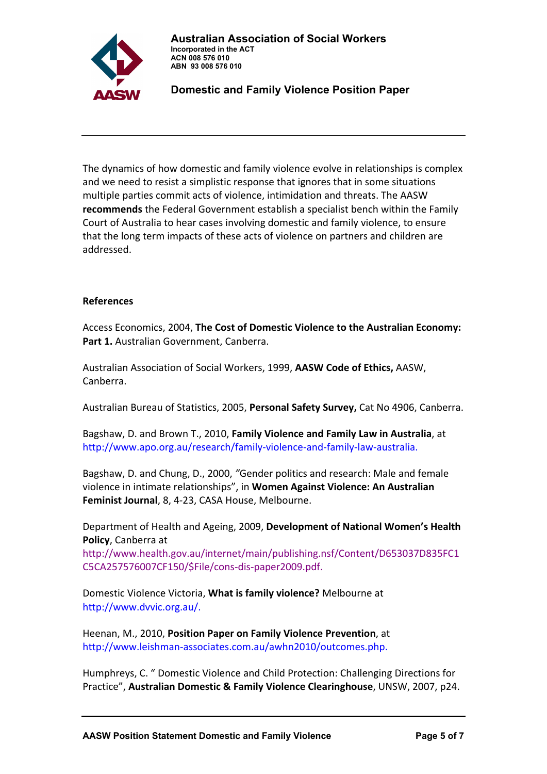

The dynamics of how domestic and family violence evolve in relationships is complex and we need to resist a simplistic response that ignores that in some situations multiple parties commit acts of violence, intimidation and threats. The AASW **recommends** the Federal Government establish a specialist bench within the Family Court of Australia to hear cases involving domestic and family violence, to ensure that the long term impacts of these acts of violence on partners and children are addressed.

### **References**

Access Economics, 2004, **The Cost of Domestic Violence to the Australian Economy: Part 1.** Australian Government, Canberra.

Australian Association of Social Workers, 1999, **AASW Code of Ethics,** AASW, Canberra.

Australian Bureau of Statistics, 2005, **Personal Safety Survey,** Cat No 4906, Canberra.

Bagshaw, D. and Brown T., 2010, **Family Violence and Family Law in Australia**, at http://www.apo.org.au/research/family‐violence‐and‐family‐law‐australia.

Bagshaw, D. and Chung, D., 2000, *"*Gender politics and research: Male and female violence in intimate relationships", in **Women Against Violence: An Australian Feminist Journal**, 8, 4‐23, CASA House, Melbourne.

Department of Health and Ageing, 2009, **Development of National Women's Health Policy**, Canberra at

http://www.health.gov.au/internet/main/publishing.nsf/Content/D653037D835FC1 C5CA257576007CF150/\$File/cons‐dis‐paper2009.pdf.

Domestic Violence Victoria, **What is family violence?** Melbourne at http://www.dvvic.org.au/.

Heenan, M., 2010, **Position Paper on Family Violence Prevention**, at http://www.leishman‐associates.com.au/awhn2010/outcomes.php.

Humphreys, C. " Domestic Violence and Child Protection: Challenging Directions for Practice", **Australian Domestic & Family Violence Clearinghouse**, UNSW, 2007, p24.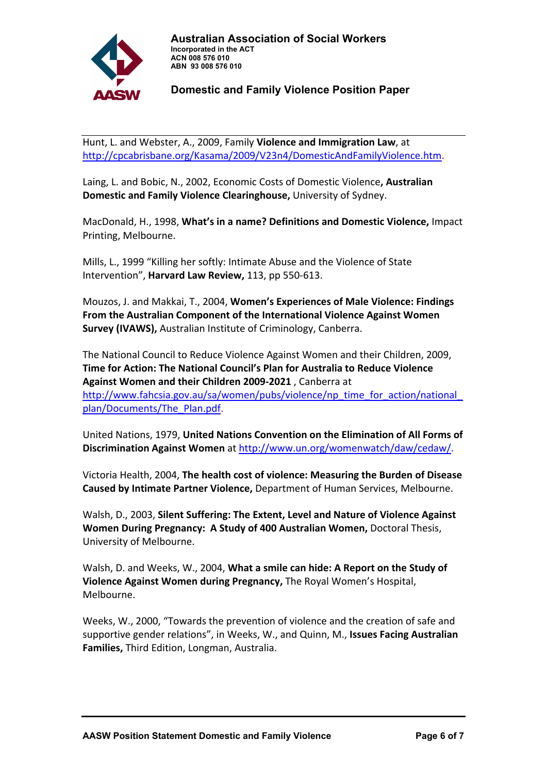

Hunt, L. and Webster, A., 2009, Family **Violence and Immigration Law**, at [http://cpcabrisbane.org/Kasama/2009/V23n4/DomesticAndFamilyViolence.htm.](http://cpcabrisbane.org/Kasama/2009/V23n4/DomesticAndFamilyViolence.htm)

Laing, L. and Bobic, N., 2002, Economic Costs of Domestic Violence**, Australian Domestic and Family Violence Clearinghouse,** University of Sydney.

MacDonald, H., 1998, **What's in a name? Definitions and Domestic Violence,** Impact Printing, Melbourne.

Mills, L., 1999 "Killing her softly: Intimate Abuse and the Violence of State Intervention", **Harvard Law Review,** 113, pp 550‐613.

Mouzos, J. and Makkai, T., 2004, **Women's Experiences of Male Violence: Findings From the Australian Component of the International Violence Against Women Survey (IVAWS),** Australian Institute of Criminology, Canberra.

The National Council to Reduce Violence Against Women and their Children, 2009, **Time for Action: The National Council's Plan for Australia to Reduce Violence Against Women and their Children 2009‐2021** , Canberra at [http://www.fahcsia.gov.au/sa/women/pubs/violence/np\\_time\\_for\\_action/national\\_](http://www.fahcsia.gov.au/sa/women/pubs/violence/np_time_for_action/national_ plan/Documents/The_Plan.pdf) [plan/Documents/The\\_Plan.pdf](http://www.fahcsia.gov.au/sa/women/pubs/violence/np_time_for_action/national_ plan/Documents/The_Plan.pdf).

United Nations, 1979, **United Nations Convention on the Elimination of All Forms of Discrimination Against Women** at <http://www.un.org/womenwatch/daw/cedaw/>.

Victoria Health, 2004, **The health cost of violence: Measuring the Burden of Disease Caused by Intimate Partner Violence,** Department of Human Services, Melbourne.

Walsh, D., 2003, **Silent Suffering: The Extent, Level and Nature of Violence Against Women During Pregnancy: A Study of 400 Australian Women,** Doctoral Thesis, University of Melbourne.

Walsh, D. and Weeks, W., 2004, **What a smile can hide: A Report on the Study of Violence Against Women during Pregnancy,** The Royal Women's Hospital, Melbourne.

Weeks, W., 2000, "Towards the prevention of violence and the creation of safe and supportive gender relations", in Weeks, W., and Quinn, M., **Issues Facing Australian Families,** Third Edition, Longman, Australia.